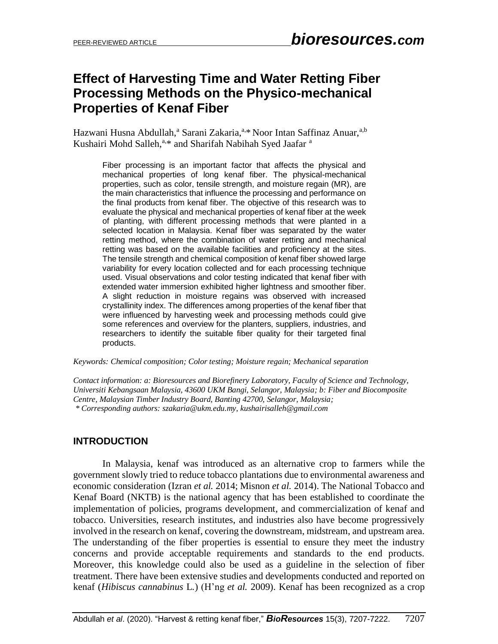# **Effect of Harvesting Time and Water Retting Fiber Processing Methods on the Physico-mechanical Properties of Kenaf Fiber**

Hazwani Husna Abdullah,<sup>a</sup> Sarani Zakaria,<sup>a,\*</sup> Noor Intan Saffinaz Anuar,<sup>a,b</sup> Kushairi Mohd Salleh,<sup>a,\*</sup> and Sharifah Nabihah Syed Jaafar<sup>a</sup>

Fiber processing is an important factor that affects the physical and mechanical properties of long kenaf fiber. The physical-mechanical properties, such as color, tensile strength, and moisture regain (MR), are the main characteristics that influence the processing and performance on the final products from kenaf fiber. The objective of this research was to evaluate the physical and mechanical properties of kenaf fiber at the week of planting, with different processing methods that were planted in a selected location in Malaysia. Kenaf fiber was separated by the water retting method, where the combination of water retting and mechanical retting was based on the available facilities and proficiency at the sites. The tensile strength and chemical composition of kenaf fiber showed large variability for every location collected and for each processing technique used. Visual observations and color testing indicated that kenaf fiber with extended water immersion exhibited higher lightness and smoother fiber. A slight reduction in moisture regains was observed with increased crystallinity index. The differences among properties of the kenaf fiber that were influenced by harvesting week and processing methods could give some references and overview for the planters, suppliers, industries, and researchers to identify the suitable fiber quality for their targeted final products.

*Keywords: Chemical composition; Color testing; Moisture regain; Mechanical separation*

*Contact information: a: Bioresources and Biorefinery Laboratory, Faculty of Science and Technology, Universiti Kebangsaan Malaysia, 43600 UKM Bangi, Selangor, Malaysia; b: Fiber and Biocomposite Centre, Malaysian Timber Industry Board, Banting 42700, Selangor, Malaysia; \* Corresponding authors: szakaria@ukm.edu.my, kushairisalleh@gmail.com*

# **INTRODUCTION**

In Malaysia, kenaf was introduced as an alternative crop to farmers while the government slowly tried to reduce tobacco plantations due to environmental awareness and economic consideration (Izran *et al.* 2014; Misnon *et al.* 2014). The National Tobacco and Kenaf Board (NKTB) is the national agency that has been established to coordinate the implementation of policies, programs development, and commercialization of kenaf and tobacco. Universities, research institutes, and industries also have become progressively involved in the research on kenaf, covering the downstream, midstream, and upstream area. The understanding of the fiber properties is essential to ensure they meet the industry concerns and provide acceptable requirements and standards to the end products. Moreover, this knowledge could also be used as a guideline in the selection of fiber treatment. There have been extensive studies and developments conducted and reported on kenaf (*Hibiscus cannabinus* L*.*) (H'ng *et al.* 2009). Kenaf has been recognized as a crop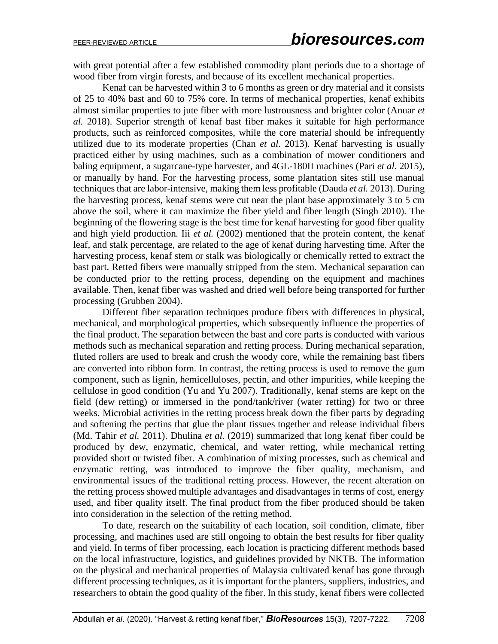with great potential after a few established commodity plant periods due to a shortage of wood fiber from virgin forests, and because of its excellent mechanical properties.

Kenaf can be harvested within 3 to 6 months as green or dry material and it consists of 25 to 40% bast and 60 to 75% core. In terms of mechanical properties, kenaf exhibits almost similar properties to jute fiber with more lustrousness and brighter color (Anuar *et al.* 2018). Superior strength of kenaf bast fiber makes it suitable for high performance products, such as reinforced composites, while the core material should be infrequently utilized due to its moderate properties (Chan *et al*. 2013). Kenaf harvesting is usually practiced either by using machines, such as a combination of mower conditioners and baling equipment, a sugarcane-type harvester, and 4GL-180II machines (Pari *et al.* 2015), or manually by hand. For the harvesting process, some plantation sites still use manual techniques that are labor-intensive, making them less profitable (Dauda *et al.* 2013). During the harvesting process, kenaf stems were cut near the plant base approximately 3 to 5 cm above the soil, where it can maximize the fiber yield and fiber length (Singh 2010). The beginning of the flowering stage is the best time for kenaf harvesting for good fiber quality and high yield production. Iii *et al.* (2002) mentioned that the protein content, the kenaf leaf, and stalk percentage, are related to the age of kenaf during harvesting time. After the harvesting process, kenaf stem or stalk was biologically or chemically retted to extract the bast part. Retted fibers were manually stripped from the stem. Mechanical separation can be conducted prior to the retting process, depending on the equipment and machines available. Then, kenaf fiber was washed and dried well before being transported for further processing (Grubben 2004).

Different fiber separation techniques produce fibers with differences in physical, mechanical, and morphological properties, which subsequently influence the properties of the final product. The separation between the bast and core parts is conducted with various methods such as mechanical separation and retting process. During mechanical separation, fluted rollers are used to break and crush the woody core, while the remaining bast fibers are converted into ribbon form. In contrast, the retting process is used to remove the gum component, such as lignin, hemicelluloses, pectin, and other impurities, while keeping the cellulose in good condition (Yu and Yu 2007). Traditionally, kenaf stems are kept on the field (dew retting) or immersed in the pond/tank/river (water retting) for two or three weeks. Microbial activities in the retting process break down the fiber parts by degrading and softening the pectins that glue the plant tissues together and release individual fibers (Md. Tahir *et al.* 2011). Dhulina *et al.* (2019) summarized that long kenaf fiber could be produced by dew, enzymatic, chemical, and water retting, while mechanical retting provided short or twisted fiber. A combination of mixing processes, such as chemical and enzymatic retting, was introduced to improve the fiber quality, mechanism, and environmental issues of the traditional retting process. However, the recent alteration on the retting process showed multiple advantages and disadvantages in terms of cost, energy used, and fiber quality itself. The final product from the fiber produced should be taken into consideration in the selection of the retting method.

To date, research on the suitability of each location, soil condition, climate, fiber processing, and machines used are still ongoing to obtain the best results for fiber quality and yield. In terms of fiber processing, each location is practicing different methods based on the local infrastructure, logistics, and guidelines provided by NKTB. The information on the physical and mechanical properties of Malaysia cultivated kenaf has gone through different processing techniques, as it is important for the planters, suppliers, industries, and researchers to obtain the good quality of the fiber. In this study, kenaf fibers were collected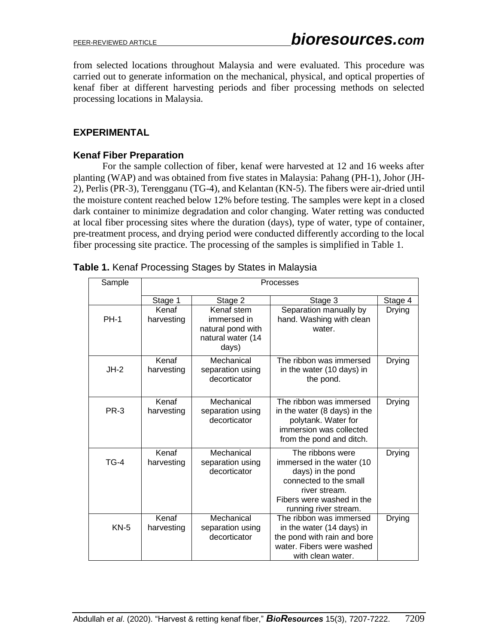from selected locations throughout Malaysia and were evaluated. This procedure was carried out to generate information on the mechanical, physical, and optical properties of kenaf fiber at different harvesting periods and fiber processing methods on selected processing locations in Malaysia.

# **EXPERIMENTAL**

## **Kenaf Fiber Preparation**

For the sample collection of fiber, kenaf were harvested at 12 and 16 weeks after planting (WAP) and was obtained from five states in Malaysia: Pahang (PH-1), Johor (JH-2), Perlis (PR-3), Terengganu (TG-4), and Kelantan (KN-5). The fibers were air-dried until the moisture content reached below 12% before testing. The samples were kept in a closed dark container to minimize degradation and color changing. Water retting was conducted at local fiber processing sites where the duration (days), type of water, type of container, pre-treatment process, and drying period were conducted differently according to the local fiber processing site practice. The processing of the samples is simplified in Table 1.

| Sample      | Processes           |                                                                              |                                                                                                                                                                     |               |  |
|-------------|---------------------|------------------------------------------------------------------------------|---------------------------------------------------------------------------------------------------------------------------------------------------------------------|---------------|--|
|             | Stage 1             | Stage 2                                                                      | Stage 3                                                                                                                                                             | Stage 4       |  |
| <b>PH-1</b> | Kenaf<br>harvesting | Kenaf stem<br>immersed in<br>natural pond with<br>natural water (14<br>days) | Separation manually by<br>hand. Washing with clean<br>water.                                                                                                        | <b>Drying</b> |  |
| $JH-2$      | Kenaf<br>harvesting | Mechanical<br>separation using<br>decorticator                               | The ribbon was immersed<br>in the water (10 days) in<br>the pond.                                                                                                   | <b>Drying</b> |  |
| <b>PR-3</b> | Kenaf<br>harvesting | Mechanical<br>separation using<br>decorticator                               | The ribbon was immersed<br>in the water (8 days) in the<br>polytank. Water for<br>immersion was collected<br>from the pond and ditch.                               | <b>Drying</b> |  |
| $TG-4$      | Kenaf<br>harvesting | Mechanical<br>separation using<br>decorticator                               | The ribbons were<br>immersed in the water (10<br>days) in the pond<br>connected to the small<br>river stream.<br>Fibers were washed in the<br>running river stream. | <b>Drying</b> |  |
| $KN-5$      | Kenaf<br>harvesting | Mechanical<br>separation using<br>decorticator                               | The ribbon was immersed<br>in the water (14 days) in<br>the pond with rain and bore<br>water. Fibers were washed<br>with clean water.                               | Drying        |  |

| Table 1. Kenaf Processing Stages by States in Malaysia |
|--------------------------------------------------------|
|--------------------------------------------------------|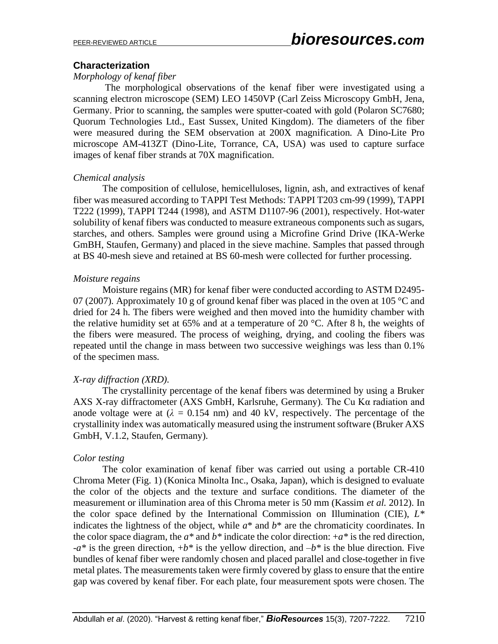## **Characterization**

#### *Morphology of kenaf fiber*

The morphological observations of the kenaf fiber were investigated using a scanning electron microscope (SEM) LEO 1450VP (Carl Zeiss Microscopy GmbH, Jena, Germany. Prior to scanning, the samples were sputter-coated with gold (Polaron SC7680; Quorum Technologies Ltd., East Sussex, United Kingdom). The diameters of the fiber were measured during the SEM observation at 200X magnification. A Dino-Lite Pro microscope AM-413ZT (Dino-Lite, Torrance, CA, USA) was used to capture surface images of kenaf fiber strands at 70X magnification.

#### *Chemical analysis*

The composition of cellulose, hemicelluloses, lignin, ash, and extractives of kenaf fiber was measured according to TAPPI Test Methods: TAPPI T203 cm-99 (1999), TAPPI T222 (1999), TAPPI T244 (1998), and ASTM D1107-96 (2001), respectively. Hot-water solubility of kenaf fibers was conducted to measure extraneous components such as sugars, starches, and others. Samples were ground using a Microfine Grind Drive (IKA-Werke GmBH, Staufen, Germany) and placed in the sieve machine. Samples that passed through at BS 40-mesh sieve and retained at BS 60-mesh were collected for further processing.

## *Moisture regains*

Moisture regains (MR) for kenaf fiber were conducted according to ASTM D2495- 07 (2007). Approximately 10 g of ground kenaf fiber was placed in the oven at 105  $\degree$ C and dried for 24 h. The fibers were weighed and then moved into the humidity chamber with the relative humidity set at 65% and at a temperature of 20  $^{\circ}$ C. After 8 h, the weights of the fibers were measured. The process of weighing, drying, and cooling the fibers was repeated until the change in mass between two successive weighings was less than 0.1% of the specimen mass.

# *X-ray diffraction (XRD).*

The crystallinity percentage of the kenaf fibers was determined by using a Bruker AXS X-ray diffractometer (AXS GmbH, Karlsruhe, Germany). The Cu Kα radiation and anode voltage were at  $(\lambda = 0.154 \text{ nm})$  and 40 kV, respectively. The percentage of the crystallinity index was automatically measured using the instrument software (Bruker AXS GmbH, V.1.2, Staufen, Germany).

# *Color testing*

The color examination of kenaf fiber was carried out using a portable CR-410 Chroma Meter (Fig. 1) (Konica Minolta Inc., Osaka, Japan), which is designed to evaluate the color of the objects and the texture and surface conditions. The diameter of the measurement or illumination area of this Chroma meter is 50 mm (Kassim *et al.* 2012). In the color space defined by the International Commission on Illumination (CIE), *L\** indicates the lightness of the object, while  $a^*$  and  $b^*$  are the chromaticity coordinates. In the color space diagram, the  $a^*$  and  $b^*$  indicate the color direction:  $+a^*$  is the red direction, -*a\** is the green direction, +*b\** is the yellow direction, and –*b\** is the blue direction. Five bundles of kenaf fiber were randomly chosen and placed parallel and close-together in five metal plates. The measurements taken were firmly covered by glass to ensure that the entire gap was covered by kenaf fiber. For each plate, four measurement spots were chosen. The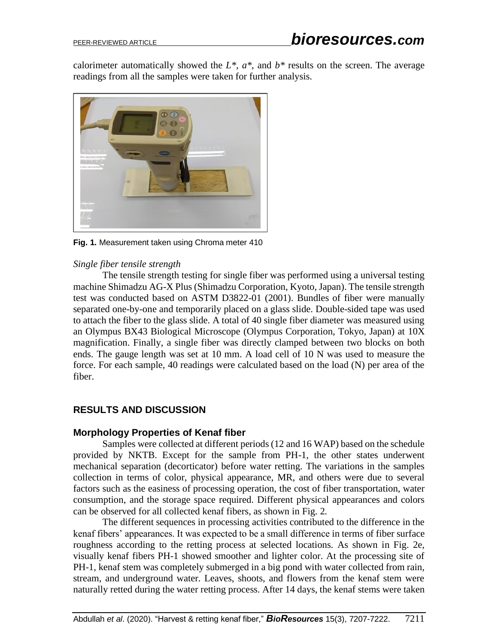calorimeter automatically showed the  $L^*$ ,  $a^*$ , and  $b^*$  results on the screen. The average readings from all the samples were taken for further analysis.



**Fig. 1.** Measurement taken using Chroma meter 410

## *Single fiber tensile strength*

The tensile strength testing for single fiber was performed using a universal testing machine Shimadzu AG-X Plus (Shimadzu Corporation, Kyoto, Japan). The tensile strength test was conducted based on ASTM D3822-01 (2001). Bundles of fiber were manually separated one-by-one and temporarily placed on a glass slide. Double-sided tape was used to attach the fiber to the glass slide. A total of 40 single fiber diameter was measured using an Olympus BX43 Biological Microscope (Olympus Corporation, Tokyo, Japan) at 10X magnification. Finally, a single fiber was directly clamped between two blocks on both ends. The gauge length was set at 10 mm. A load cell of 10 N was used to measure the force. For each sample, 40 readings were calculated based on the load (N) per area of the fiber.

# **RESULTS AND DISCUSSION**

#### **Morphology Properties of Kenaf fiber**

Samples were collected at different periods(12 and 16 WAP) based on the schedule provided by NKTB. Except for the sample from PH-1, the other states underwent mechanical separation (decorticator) before water retting. The variations in the samples collection in terms of color, physical appearance, MR, and others were due to several factors such as the easiness of processing operation, the cost of fiber transportation, water consumption, and the storage space required. Different physical appearances and colors can be observed for all collected kenaf fibers, as shown in Fig. 2.

The different sequences in processing activities contributed to the difference in the kenaf fibers' appearances. It was expected to be a small difference in terms of fiber surface roughness according to the retting process at selected locations. As shown in Fig. 2e, visually kenaf fibers PH-1 showed smoother and lighter color. At the processing site of PH-1, kenaf stem was completely submerged in a big pond with water collected from rain, stream, and underground water. Leaves, shoots, and flowers from the kenaf stem were naturally retted during the water retting process. After 14 days, the kenaf stems were taken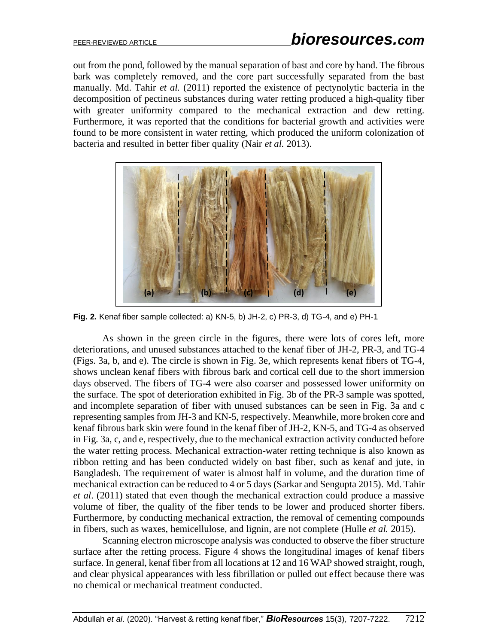out from the pond, followed by the manual separation of bast and core by hand. The fibrous bark was completely removed, and the core part successfully separated from the bast manually. Md. Tahir *et al.* (2011) reported the existence of pectynolytic bacteria in the decomposition of pectineus substances during water retting produced a high-quality fiber with greater uniformity compared to the mechanical extraction and dew retting. Furthermore, it was reported that the conditions for bacterial growth and activities were found to be more consistent in water retting, which produced the uniform colonization of bacteria and resulted in better fiber quality (Nair *et al.* 2013).



**Fig. 2.** Kenaf fiber sample collected: a) KN-5, b) JH-2, c) PR-3, d) TG-4, and e) PH-1

As shown in the green circle in the figures, there were lots of cores left, more deteriorations, and unused substances attached to the kenaf fiber of JH-2, PR-3, and TG-4 (Figs. 3a, b, and e). The circle is shown in Fig. 3e, which represents kenaf fibers of TG-4, shows unclean kenaf fibers with fibrous bark and cortical cell due to the short immersion days observed. The fibers of TG-4 were also coarser and possessed lower uniformity on the surface. The spot of deterioration exhibited in Fig. 3b of the PR-3 sample was spotted, and incomplete separation of fiber with unused substances can be seen in Fig. 3a and c representing samples from JH-3 and KN-5, respectively. Meanwhile, more broken core and kenaf fibrous bark skin were found in the kenaf fiber of JH-2, KN-5, and TG-4 as observed in Fig. 3a, c, and e, respectively, due to the mechanical extraction activity conducted before the water retting process. Mechanical extraction-water retting technique is also known as ribbon retting and has been conducted widely on bast fiber, such as kenaf and jute, in Bangladesh. The requirement of water is almost half in volume, and the duration time of mechanical extraction can be reduced to 4 or 5 days (Sarkar and Sengupta 2015). Md. Tahir *et al*. (2011) stated that even though the mechanical extraction could produce a massive volume of fiber, the quality of the fiber tends to be lower and produced shorter fibers. Furthermore, by conducting mechanical extraction, the removal of cementing compounds in fibers, such as waxes, hemicellulose, and lignin, are not complete (Hulle *et al.* 2015).

Scanning electron microscope analysis was conducted to observe the fiber structure surface after the retting process. Figure 4 shows the longitudinal images of kenaf fibers surface. In general, kenaf fiber from all locations at 12 and 16 WAP showed straight, rough, and clear physical appearances with less fibrillation or pulled out effect because there was no chemical or mechanical treatment conducted.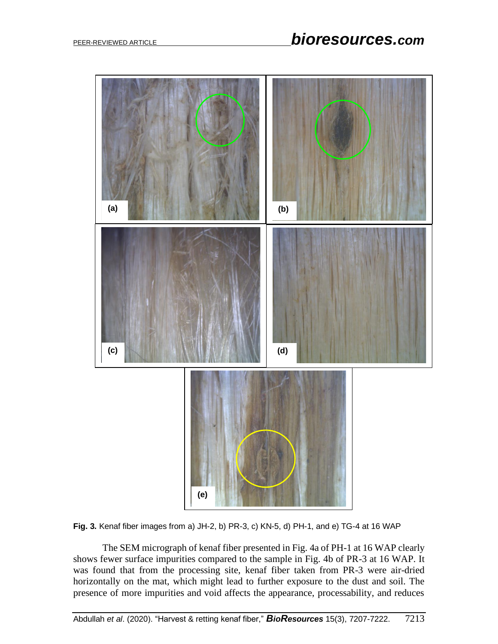



The SEM micrograph of kenaf fiber presented in Fig. 4a of PH-1 at 16 WAP clearly shows fewer surface impurities compared to the sample in Fig. 4b of PR-3 at 16 WAP. It was found that from the processing site, kenaf fiber taken from PR-3 were air-dried horizontally on the mat, which might lead to further exposure to the dust and soil. The presence of more impurities and void affects the appearance, processability, and reduces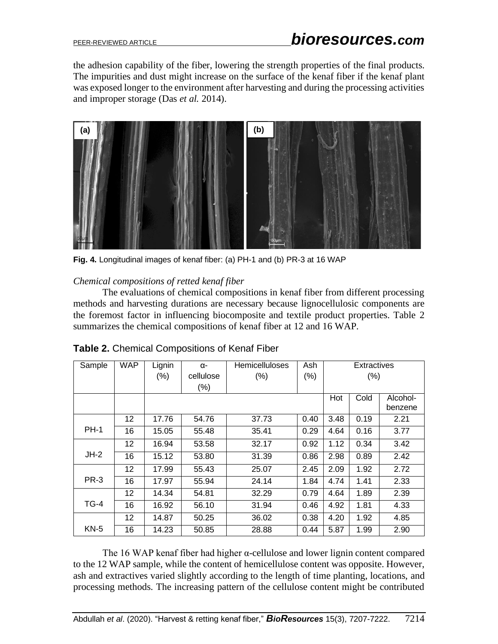the adhesion capability of the fiber, lowering the strength properties of the final products. The impurities and dust might increase on the surface of the kenaf fiber if the kenaf plant was exposed longer to the environment after harvesting and during the processing activities and improper storage (Das *et al.* 2014).



**Fig. 4.** Longitudinal images of kenaf fiber: (a) PH-1 and (b) PR-3 at 16 WAP

#### *Chemical compositions of retted kenaf fiber*

The evaluations of chemical compositions in kenaf fiber from different processing methods and harvesting durations are necessary because lignocellulosic components are the foremost factor in influencing biocomposite and textile product properties. Table 2 summarizes the chemical compositions of kenaf fiber at 12 and 16 WAP.

| Sample      | <b>WAP</b> | Lignin | α-        | <b>Hemicelluloses</b> | Ash     | Extractives |         |          |
|-------------|------------|--------|-----------|-----------------------|---------|-------------|---------|----------|
|             |            | $(\%)$ | cellulose | $(\% )$               | $(\% )$ |             | $(\% )$ |          |
|             |            |        | $(\%)$    |                       |         |             |         |          |
|             |            |        |           |                       |         | Hot         | Cold    | Alcohol- |
|             |            |        |           |                       |         |             |         | benzene  |
|             | 12         | 17.76  | 54.76     | 37.73                 | 0.40    | 3.48        | 0.19    | 2.21     |
| <b>PH-1</b> | 16         | 15.05  | 55.48     | 35.41                 | 0.29    | 4.64        | 0.16    | 3.77     |
|             | 12         | 16.94  | 53.58     | 32.17                 | 0.92    | 1.12        | 0.34    | 3.42     |
| $JH-2$      | 16         | 15.12  | 53.80     | 31.39                 | 0.86    | 2.98        | 0.89    | 2.42     |
|             | 12         | 17.99  | 55.43     | 25.07                 | 2.45    | 2.09        | 1.92    | 2.72     |
| <b>PR-3</b> | 16         | 17.97  | 55.94     | 24.14                 | 1.84    | 4.74        | 1.41    | 2.33     |
|             | 12         | 14.34  | 54.81     | 32.29                 | 0.79    | 4.64        | 1.89    | 2.39     |
| $TG-4$      | 16         | 16.92  | 56.10     | 31.94                 | 0.46    | 4.92        | 1.81    | 4.33     |
|             | 12         | 14.87  | 50.25     | 36.02                 | 0.38    | 4.20        | 1.92    | 4.85     |
| $KN-5$      | 16         | 14.23  | 50.85     | 28.88                 | 0.44    | 5.87        | 1.99    | 2.90     |

| Table 2. Chemical Compositions of Kenaf Fiber |
|-----------------------------------------------|
|-----------------------------------------------|

The 16 WAP kenaf fiber had higher α-cellulose and lower lignin content compared to the 12 WAP sample, while the content of hemicellulose content was opposite. However, ash and extractives varied slightly according to the length of time planting, locations, and processing methods. The increasing pattern of the cellulose content might be contributed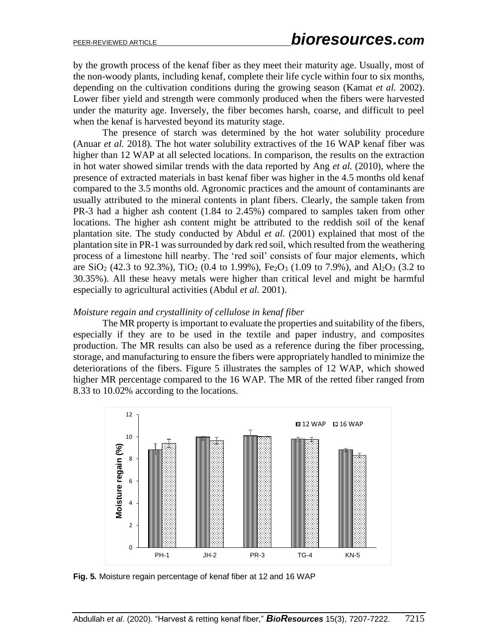by the growth process of the kenaf fiber as they meet their maturity age. Usually, most of the non-woody plants, including kenaf, complete their life cycle within four to six months, depending on the cultivation conditions during the growing season (Kamat *et al.* 2002). Lower fiber yield and strength were commonly produced when the fibers were harvested under the maturity age. Inversely, the fiber becomes harsh, coarse, and difficult to peel when the kenaf is harvested beyond its maturity stage.

The presence of starch was determined by the hot water solubility procedure (Anuar *et al.* 2018). The hot water solubility extractives of the 16 WAP kenaf fiber was higher than 12 WAP at all selected locations. In comparison, the results on the extraction in hot water showed similar trends with the data reported by Ang *et al.* (2010), where the presence of extracted materials in bast kenaf fiber was higher in the 4.5 months old kenaf compared to the 3.5 months old. Agronomic practices and the amount of contaminants are usually attributed to the mineral contents in plant fibers. Clearly, the sample taken from PR-3 had a higher ash content (1.84 to 2.45%) compared to samples taken from other locations. The higher ash content might be attributed to the reddish soil of the kenaf plantation site. The study conducted by Abdul *et al.* (2001) explained that most of the plantation site in PR-1 was surrounded by dark red soil, which resulted from the weathering process of a limestone hill nearby. The 'red soil' consists of four major elements, which are SiO<sub>2</sub> (42.3 to 92.3%), TiO<sub>2</sub> (0.4 to 1.99%), Fe<sub>2</sub>O<sub>3</sub> (1.09 to 7.9%), and Al<sub>2</sub>O<sub>3</sub> (3.2 to 30.35%). All these heavy metals were higher than critical level and might be harmful especially to agricultural activities (Abdul *et al.* 2001).

#### *Moisture regain and crystallinity of cellulose in kenaf fiber*

The MR property is important to evaluate the properties and suitability of the fibers, especially if they are to be used in the textile and paper industry, and composites production. The MR results can also be used as a reference during the fiber processing, storage, and manufacturing to ensure the fibers were appropriately handled to minimize the deteriorations of the fibers. Figure 5 illustrates the samples of 12 WAP, which showed higher MR percentage compared to the 16 WAP. The MR of the retted fiber ranged from 8.33 to 10.02% according to the locations.



**Fig. 5.** Moisture regain percentage of kenaf fiber at 12 and 16 WAP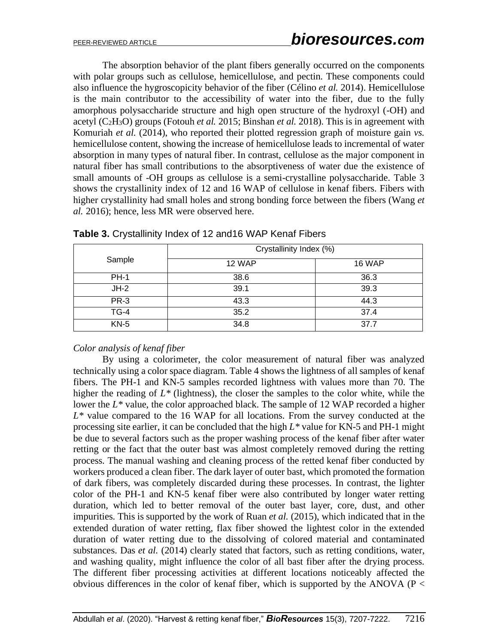The absorption behavior of the plant fibers generally occurred on the components with polar groups such as cellulose, hemicellulose, and pectin. These components could also influence the hygroscopicity behavior of the fiber (Célino *et al.* 2014). Hemicellulose is the main contributor to the accessibility of water into the fiber, due to the fully amorphous polysaccharide structure and high open structure of the hydroxyl (-OH) and acetyl (C2H3O) groups (Fotouh *et al.* 2015; Binshan *et al.* 2018). This is in agreement with Komuriah *et al.* (2014), who reported their plotted regression graph of moisture gain *vs.*  hemicellulose content, showing the increase of hemicellulose leads to incremental of water absorption in many types of natural fiber. In contrast, cellulose as the major component in natural fiber has small contributions to the absorptiveness of water due the existence of small amounts of -OH groups as cellulose is a semi-crystalline polysaccharide. Table 3 shows the crystallinity index of 12 and 16 WAP of cellulose in kenaf fibers. Fibers with higher crystallinity had small holes and strong bonding force between the fibers (Wang *et al.* 2016); hence, less MR were observed here.

|             | Crystallinity Index (%) |               |  |  |
|-------------|-------------------------|---------------|--|--|
| Sample      | <b>12 WAP</b>           | <b>16 WAP</b> |  |  |
| <b>PH-1</b> | 38.6                    | 36.3          |  |  |
| JH-2        | 39.1                    | 39.3          |  |  |
| <b>PR-3</b> | 43.3                    | 44.3          |  |  |
| $TG-4$      | 35.2                    | 37.4          |  |  |
| $KN-5$      | 34.8                    | 37.7          |  |  |

**Table 3.** Crystallinity Index of 12 and16 WAP Kenaf Fibers

#### *Color analysis of kenaf fiber*

By using a colorimeter, the color measurement of natural fiber was analyzed technically using a color space diagram. Table 4 shows the lightness of all samples of kenaf fibers. The PH-1 and KN-5 samples recorded lightness with values more than 70. The higher the reading of  $L^*$  (lightness), the closer the samples to the color white, while the lower the *L\** value, the color approached black. The sample of 12 WAP recorded a higher *L\** value compared to the 16 WAP for all locations. From the survey conducted at the processing site earlier, it can be concluded that the high *L\** value for KN-5 and PH-1 might be due to several factors such as the proper washing process of the kenaf fiber after water retting or the fact that the outer bast was almost completely removed during the retting process. The manual washing and cleaning process of the retted kenaf fiber conducted by workers produced a clean fiber. The dark layer of outer bast, which promoted the formation of dark fibers, was completely discarded during these processes. In contrast, the lighter color of the PH-1 and KN-5 kenaf fiber were also contributed by longer water retting duration, which led to better removal of the outer bast layer, core, dust, and other impurities. This is supported by the work of Ruan *et al.* (2015), which indicated that in the extended duration of water retting, flax fiber showed the lightest color in the extended duration of water retting due to the dissolving of colored material and contaminated substances. Das *et al.* (2014) clearly stated that factors, such as retting conditions, water, and washing quality, might influence the color of all bast fiber after the drying process. The different fiber processing activities at different locations noticeably affected the obvious differences in the color of kenaf fiber, which is supported by the ANOVA ( $P <$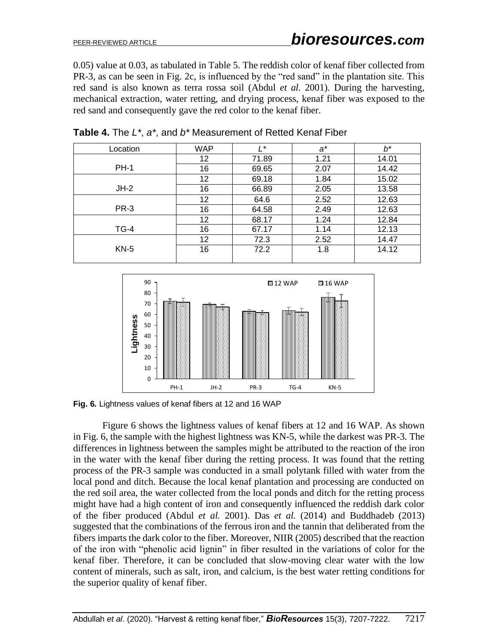0.05) value at 0.03, as tabulated in Table 5. The reddish color of kenaf fiber collected from PR-3, as can be seen in Fig. 2c, is influenced by the "red sand" in the plantation site. This red sand is also known as terra rossa soil (Abdul *et al.* 2001). During the harvesting, mechanical extraction, water retting, and drying process, kenaf fiber was exposed to the red sand and consequently gave the red color to the kenaf fiber.

| Location    | <b>WAP</b> | $\prime^*$ | $a^*$ | b*    |
|-------------|------------|------------|-------|-------|
|             | 12         | 71.89      | 1.21  | 14.01 |
| <b>PH-1</b> | 16         | 69.65      | 2.07  | 14.42 |
|             | 12         | 69.18      | 1.84  | 15.02 |
| $JH-2$      | 16         | 66.89      | 2.05  | 13.58 |
|             | 12         | 64.6       | 2.52  | 12.63 |
| PR-3        | 16         | 64.58      | 2.49  | 12.63 |
|             | 12         | 68.17      | 1.24  | 12.84 |
| $TG-4$      | 16         | 67.17      | 1.14  | 12.13 |
|             | 12         | 72.3       | 2.52  | 14.47 |
| $KN-5$      | 16         | 72.2       | 1.8   | 14.12 |

**Table 4.** The *L\**, *a\**, and *b\** Measurement of Retted Kenaf Fiber



**Fig. 6.** Lightness values of kenaf fibers at 12 and 16 WAP

Figure 6 shows the lightness values of kenaf fibers at 12 and 16 WAP. As shown in Fig. 6, the sample with the highest lightness was KN-5, while the darkest was PR-3. The differences in lightness between the samples might be attributed to the reaction of the iron in the water with the kenaf fiber during the retting process. It was found that the retting process of the PR-3 sample was conducted in a small polytank filled with water from the local pond and ditch. Because the local kenaf plantation and processing are conducted on the red soil area, the water collected from the local ponds and ditch for the retting process might have had a high content of iron and consequently influenced the reddish dark color of the fiber produced (Abdul *et al.* 2001). Das *et al.* (2014) and Buddhadeb (2013) suggested that the combinations of the ferrous iron and the tannin that deliberated from the fibers imparts the dark color to the fiber. Moreover, NIIR (2005) described that the reaction of the iron with "phenolic acid lignin" in fiber resulted in the variations of color for the kenaf fiber. Therefore, it can be concluded that slow-moving clear water with the low content of minerals, such as salt, iron, and calcium, is the best water retting conditions for the superior quality of kenaf fiber.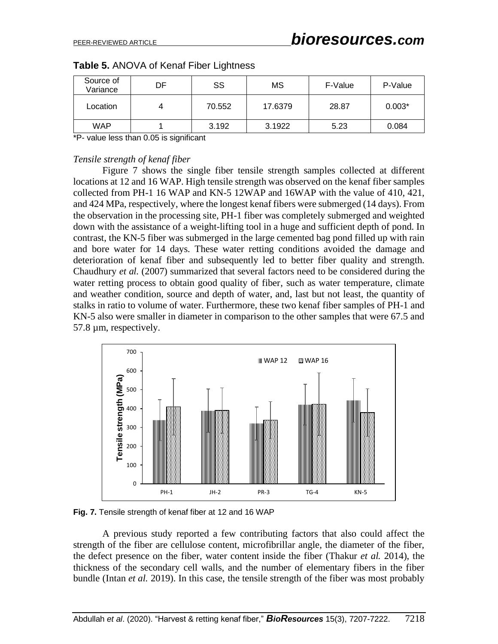| Source of<br>Variance | DF. | SS     | МS      | F-Value | P-Value  |
|-----------------------|-----|--------|---------|---------|----------|
| Location              |     | 70.552 | 17.6379 | 28.87   | $0.003*$ |
| <b>WAP</b>            |     | 3.192  | 3.1922  | 5.23    | 0.084    |

|  |  |  |  | Table 5. ANOVA of Kenaf Fiber Lightness |
|--|--|--|--|-----------------------------------------|
|--|--|--|--|-----------------------------------------|

\*P- value less than 0.05 is significant

#### *Tensile strength of kenaf fiber*

Figure 7 shows the single fiber tensile strength samples collected at different locations at 12 and 16 WAP. High tensile strength was observed on the kenaf fiber samples collected from PH-1 16 WAP and KN-5 12WAP and 16WAP with the value of 410, 421, and 424 MPa, respectively, where the longest kenaf fibers were submerged (14 days). From the observation in the processing site, PH-1 fiber was completely submerged and weighted down with the assistance of a weight-lifting tool in a huge and sufficient depth of pond. In contrast, the KN-5 fiber was submerged in the large cemented bag pond filled up with rain and bore water for 14 days. These water retting conditions avoided the damage and deterioration of kenaf fiber and subsequently led to better fiber quality and strength. Chaudhury *et al.* (2007) summarized that several factors need to be considered during the water retting process to obtain good quality of fiber, such as water temperature, climate and weather condition, source and depth of water, and, last but not least, the quantity of stalks in ratio to volume of water. Furthermore, these two kenaf fiber samples of PH-1 and KN-5 also were smaller in diameter in comparison to the other samples that were 67.5 and 57.8 µm, respectively.



**Fig. 7.** Tensile strength of kenaf fiber at 12 and 16 WAP

A previous study reported a few contributing factors that also could affect the strength of the fiber are cellulose content, microfibrillar angle, the diameter of the fiber, the defect presence on the fiber, water content inside the fiber (Thakur *et al.* 2014), the thickness of the secondary cell walls, and the number of elementary fibers in the fiber bundle (Intan *et al.* 2019). In this case, the tensile strength of the fiber was most probably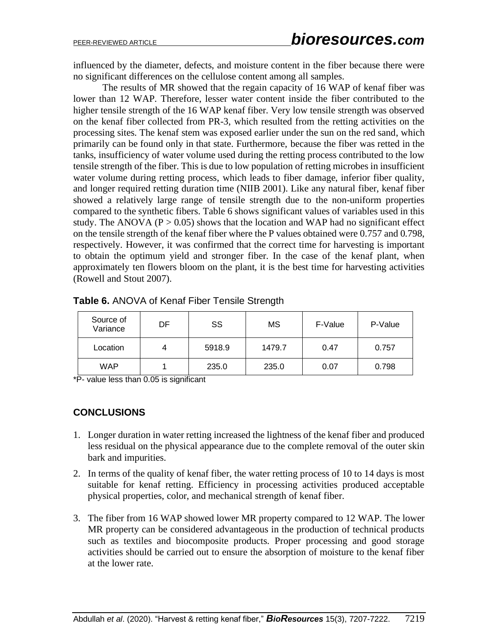influenced by the diameter, defects, and moisture content in the fiber because there were no significant differences on the cellulose content among all samples.

The results of MR showed that the regain capacity of 16 WAP of kenaf fiber was lower than 12 WAP. Therefore, lesser water content inside the fiber contributed to the higher tensile strength of the 16 WAP kenaf fiber. Very low tensile strength was observed on the kenaf fiber collected from PR-3, which resulted from the retting activities on the processing sites. The kenaf stem was exposed earlier under the sun on the red sand, which primarily can be found only in that state. Furthermore, because the fiber was retted in the tanks, insufficiency of water volume used during the retting process contributed to the low tensile strength of the fiber. This is due to low population of retting microbes in insufficient water volume during retting process, which leads to fiber damage, inferior fiber quality, and longer required retting duration time (NIIB 2001). Like any natural fiber, kenaf fiber showed a relatively large range of tensile strength due to the non-uniform properties compared to the synthetic fibers. Table 6 shows significant values of variables used in this study. The ANOVA ( $P > 0.05$ ) shows that the location and WAP had no significant effect on the tensile strength of the kenaf fiber where the P values obtained were 0.757 and 0.798, respectively. However, it was confirmed that the correct time for harvesting is important to obtain the optimum yield and stronger fiber. In the case of the kenaf plant, when approximately ten flowers bloom on the plant, it is the best time for harvesting activities (Rowell and Stout 2007).

| Source of<br>Variance | DF | SS     | МS     | F-Value | P-Value |
|-----------------------|----|--------|--------|---------|---------|
| Location              | 4  | 5918.9 | 1479.7 | 0.47    | 0.757   |
| <b>WAP</b>            |    | 235.0  | 235.0  | 0.07    | 0.798   |

**Table 6.** ANOVA of Kenaf Fiber Tensile Strength

\*P- value less than 0.05 is significant

# **CONCLUSIONS**

- 1. Longer duration in water retting increased the lightness of the kenaf fiber and produced less residual on the physical appearance due to the complete removal of the outer skin bark and impurities.
- 2. In terms of the quality of kenaf fiber, the water retting process of 10 to 14 days is most suitable for kenaf retting. Efficiency in processing activities produced acceptable physical properties, color, and mechanical strength of kenaf fiber.
- 3. The fiber from 16 WAP showed lower MR property compared to 12 WAP. The lower MR property can be considered advantageous in the production of technical products such as textiles and biocomposite products. Proper processing and good storage activities should be carried out to ensure the absorption of moisture to the kenaf fiber at the lower rate.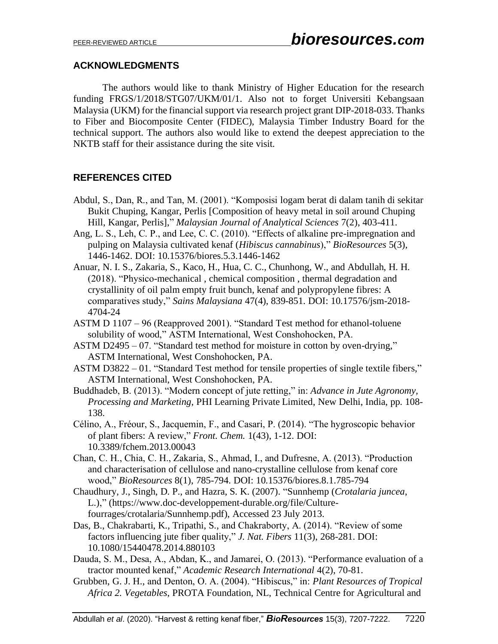## **ACKNOWLEDGMENTS**

The authors would like to thank Ministry of Higher Education for the research funding FRGS/1/2018/STG07/UKM/01/1. Also not to forget Universiti Kebangsaan Malaysia (UKM) for the financial support via research project grant DIP-2018-033. Thanks to Fiber and Biocomposite Center (FIDEC), Malaysia Timber Industry Board for the technical support. The authors also would like to extend the deepest appreciation to the NKTB staff for their assistance during the site visit.

# **REFERENCES CITED**

- Abdul, S., Dan, R., and Tan, M. (2001). "Komposisi logam berat di dalam tanih di sekitar Bukit Chuping, Kangar, Perlis [Composition of heavy metal in soil around Chuping Hill, Kangar, Perlis]," *Malaysian Journal of Analytical Sciences* 7(2), 403-411.
- Ang, L. S., Leh, C. P., and Lee, C. C. (2010). "Effects of alkaline pre-impregnation and pulping on Malaysia cultivated kenaf (*Hibiscus cannabinus*)," *BioResources* 5(3), 1446-1462. DOI: 10.15376/biores.5.3.1446-1462
- Anuar, N. I. S., Zakaria, S., Kaco, H., Hua, C. C., Chunhong, W., and Abdullah, H. H. (2018). "Physico-mechanical , chemical composition , thermal degradation and crystallinity of oil palm empty fruit bunch, kenaf and polypropylene fibres: A comparatives study," *Sains Malaysiana* 47(4), 839-851. DOI: 10.17576/jsm-2018- 4704-24
- ASTM D 1107 96 (Reapproved 2001). "Standard Test method for ethanol-toluene solubility of wood," ASTM International, West Conshohocken, PA.
- ASTM D2495 07. "Standard test method for moisture in cotton by oven-drying," ASTM International, West Conshohocken, PA.
- ASTM D3822 01. "Standard Test method for tensile properties of single textile fibers," ASTM International, West Conshohocken, PA.
- Buddhadeb, B. (2013). "Modern concept of jute retting," in: *Advance in Jute Agronomy, Processing and Marketing*, PHI Learning Private Limited, New Delhi, India, pp. 108- 138.
- Célino, A., Fréour, S., Jacquemin, F., and Casari, P. (2014). "The hygroscopic behavior of plant fibers: A review," *Front. Chem.* 1(43), 1-12. DOI: 10.3389/fchem.2013.00043
- Chan, C. H., Chia, C. H., Zakaria, S., Ahmad, I., and Dufresne, A. (2013). "Production and characterisation of cellulose and nano-crystalline cellulose from kenaf core wood," *BioResources* 8(1), 785-794. DOI: 10.15376/biores.8.1.785-794
- Chaudhury, J., Singh, D. P., and Hazra, S. K. (2007). "Sunnhemp (*Crotalaria juncea*, L.)," [\(https://www.doc-developpement-durable.org/file/Culture](https://www.doc-developpement-durable.org/file/Culture-fourrages/crotalaria/Sunnhemp.pdf)[fourrages/crotalaria/Sunnhemp.pdf\)](https://www.doc-developpement-durable.org/file/Culture-fourrages/crotalaria/Sunnhemp.pdf), Accessed 23 July 2013.
- Das, B., Chakrabarti, K., Tripathi, S., and Chakraborty, A. (2014). "Review of some factors influencing jute fiber quality," *J. Nat. Fibers* 11(3), 268-281. DOI: 10.1080/15440478.2014.880103
- Dauda, S. M., Desa, A., Abdan, K., and Jamarei, O. (2013). "Performance evaluation of a tractor mounted kenaf," *Academic Research International* 4(2), 70-81.
- Grubben, G. J. H., and Denton, O. A. (2004). "Hibiscus," in: *Plant Resources of Tropical Africa 2. Vegetables*, PROTA Foundation, NL, Technical Centre for Agricultural and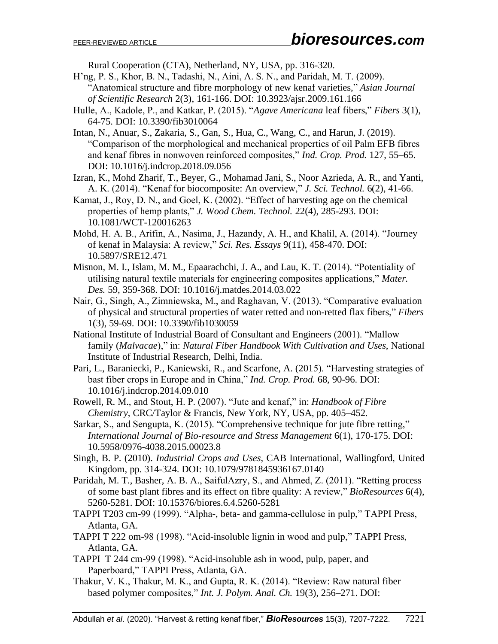Rural Cooperation (CTA), Netherland, NY, USA, pp. 316-320.

- H'ng, P. S., Khor, B. N., Tadashi, N., Aini, A. S. N., and Paridah, M. T. (2009). "Anatomical structure and fibre morphology of new kenaf varieties," *Asian Journal of Scientific Research* 2(3), 161-166. DOI: 10.3923/ajsr.2009.161.166
- Hulle, A., Kadole, P., and Katkar, P. (2015). "*Agave Americana* leaf fibers," *Fibers* 3(1), 64-75. DOI: 10.3390/fib3010064
- Intan, N., Anuar, S., Zakaria, S., Gan, S., Hua, C., Wang, C., and Harun, J. (2019). "Comparison of the morphological and mechanical properties of oil Palm EFB fibres and kenaf fibres in nonwoven reinforced composites," *Ind. Crop. Prod.* 127, 55–65. DOI: 10.1016/j.indcrop.2018.09.056
- Izran, K., Mohd Zharif, T., Beyer, G., Mohamad Jani, S., Noor Azrieda, A. R., and Yanti, A. K. (2014). "Kenaf for biocomposite: An overview," *J. Sci. Technol.* 6(2), 41-66.
- Kamat, J., Roy, D. N., and Goel, K. (2002). "Effect of harvesting age on the chemical properties of hemp plants," *J. Wood Chem. Technol.* 22(4), 285-293. DOI: 10.1081/WCT-120016263
- Mohd, H. A. B., Arifin, A., Nasima, J., Hazandy, A. H., and Khalil, A. (2014). "Journey of kenaf in Malaysia: A review," *Sci. Res. Essays* 9(11), 458-470. DOI: 10.5897/SRE12.471
- Misnon, M. I., Islam, M. M., Epaarachchi, J. A., and Lau, K. T. (2014). "Potentiality of utilising natural textile materials for engineering composites applications," *Mater. Des.* 59, 359-368. DOI: 10.1016/j.matdes.2014.03.022
- Nair, G., Singh, A., Zimniewska, M., and Raghavan, V. (2013). "Comparative evaluation of physical and structural properties of water retted and non-retted flax fibers," *Fibers* 1(3), 59-69. DOI: 10.3390/fib1030059
- National Institute of Industrial Board of Consultant and Engineers (2001). "Mallow family (*Malvacae*)," in: *Natural Fiber Handbook With Cultivation and Uses*, National Institute of Industrial Research, Delhi, India.
- Pari, L., Baraniecki, P., Kaniewski, R., and Scarfone, A. (2015). "Harvesting strategies of bast fiber crops in Europe and in China," *Ind. Crop. Prod.* 68, 90-96. DOI: 10.1016/j.indcrop.2014.09.010
- Rowell, R. M., and Stout, H. P. (2007). "Jute and kenaf," in: *Handbook of Fibre Chemistry*, CRC/Taylor & Francis, New York, NY, USA, pp. 405–452.
- Sarkar, S., and Sengupta, K. (2015). "Comprehensive technique for jute fibre retting," *International Journal of Bio-resource and Stress Management* 6(1), 170-175. DOI: 10.5958/0976-4038.2015.00023.8
- Singh, B. P. (2010). *Industrial Crops and Uses*, CAB International, Wallingford, United Kingdom, pp. 314-324. DOI: 10.1079/9781845936167.0140
- Paridah, M. T., Basher, A. B. A., SaifulAzry, S., and Ahmed, Z. (2011). "Retting process of some bast plant fibres and its effect on fibre quality: A review," *BioResources* 6(4), 5260-5281. DOI: 10.15376/biores.6.4.5260-5281
- TAPPI T203 cm-99 (1999). "Alpha-, beta- and gamma-cellulose in pulp," TAPPI Press, Atlanta, GA.
- TAPPI T 222 om-98 (1998). "Acid-insoluble lignin in wood and pulp," TAPPI Press, Atlanta, GA.
- TAPPI T 244 cm-99 (1998). "Acid-insoluble ash in wood, pulp, paper, and Paperboard," TAPPI Press, Atlanta, GA.
- Thakur, V. K., Thakur, M. K., and Gupta, R. K. (2014). "Review: Raw natural fiber– based polymer composites," *Int. J. Polym. Anal. Ch.* 19(3), 256–271. DOI: